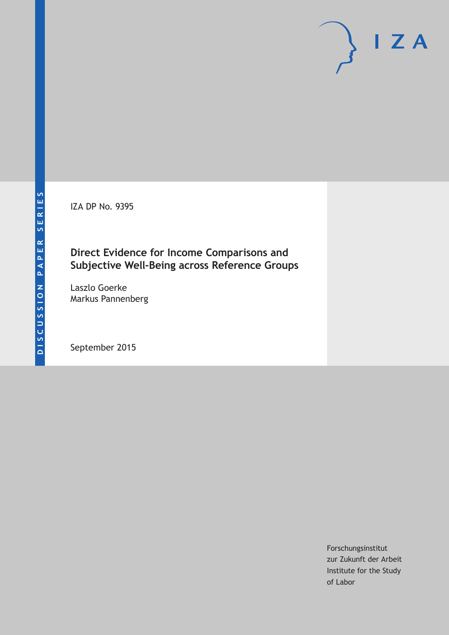IZA DP No. 9395

## **Direct Evidence for Income Comparisons and Subjective Well-Being across Reference Groups**

Laszlo Goerke Markus Pannenberg

September 2015

Forschungsinstitut zur Zukunft der Arbeit Institute for the Study of Labor

 $I Z A$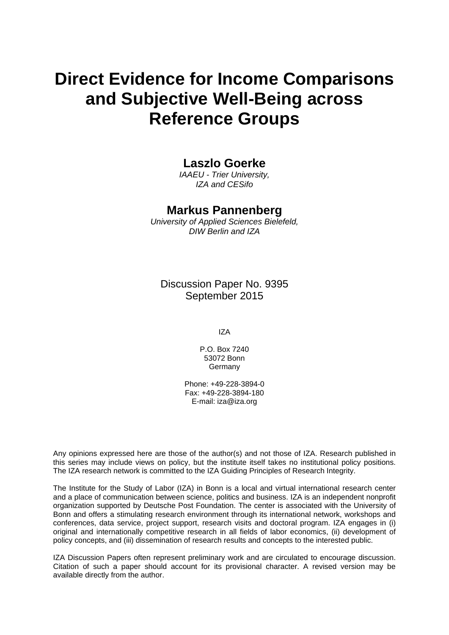# **Direct Evidence for Income Comparisons and Subjective Well-Being across Reference Groups**

## **Laszlo Goerke**

*IAAEU - Trier University, IZA and CESifo* 

### **Markus Pannenberg**

*University of Applied Sciences Bielefeld, DIW Berlin and IZA* 

Discussion Paper No. 9395 September 2015

IZA

P.O. Box 7240 53072 Bonn **Germany** 

Phone: +49-228-3894-0 Fax: +49-228-3894-180 E-mail: iza@iza.org

Any opinions expressed here are those of the author(s) and not those of IZA. Research published in this series may include views on policy, but the institute itself takes no institutional policy positions. The IZA research network is committed to the IZA Guiding Principles of Research Integrity.

The Institute for the Study of Labor (IZA) in Bonn is a local and virtual international research center and a place of communication between science, politics and business. IZA is an independent nonprofit organization supported by Deutsche Post Foundation. The center is associated with the University of Bonn and offers a stimulating research environment through its international network, workshops and conferences, data service, project support, research visits and doctoral program. IZA engages in (i) original and internationally competitive research in all fields of labor economics, (ii) development of policy concepts, and (iii) dissemination of research results and concepts to the interested public.

IZA Discussion Papers often represent preliminary work and are circulated to encourage discussion. Citation of such a paper should account for its provisional character. A revised version may be available directly from the author.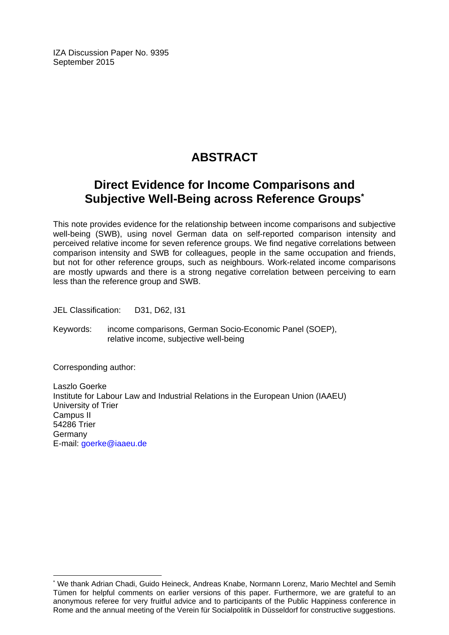IZA Discussion Paper No. 9395 September 2015

## **ABSTRACT**

## **Direct Evidence for Income Comparisons and Subjective Well-Being across Reference Groups\***

This note provides evidence for the relationship between income comparisons and subjective well-being (SWB), using novel German data on self-reported comparison intensity and perceived relative income for seven reference groups. We find negative correlations between comparison intensity and SWB for colleagues, people in the same occupation and friends, but not for other reference groups, such as neighbours. Work-related income comparisons are mostly upwards and there is a strong negative correlation between perceiving to earn less than the reference group and SWB.

JEL Classification: D31, D62, I31

Keywords: income comparisons, German Socio-Economic Panel (SOEP), relative income, subjective well-being

Corresponding author:

 $\overline{a}$ 

Laszlo Goerke Institute for Labour Law and Industrial Relations in the European Union (IAAEU) University of Trier Campus II 54286 Trier Germany E-mail: goerke@iaaeu.de

<sup>\*</sup> We thank Adrian Chadi, Guido Heineck, Andreas Knabe, Normann Lorenz, Mario Mechtel and Semih Tümen for helpful comments on earlier versions of this paper. Furthermore, we are grateful to an anonymous referee for very fruitful advice and to participants of the Public Happiness conference in Rome and the annual meeting of the Verein für Socialpolitik in Düsseldorf for constructive suggestions.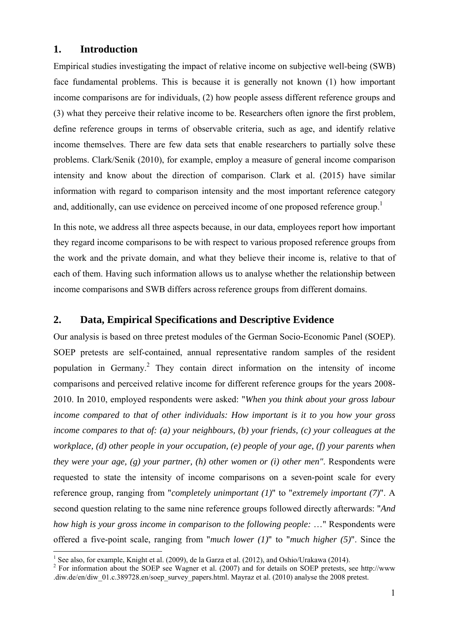## **1. Introduction**

Empirical studies investigating the impact of relative income on subjective well-being (SWB) face fundamental problems. This is because it is generally not known (1) how important income comparisons are for individuals, (2) how people assess different reference groups and (3) what they perceive their relative income to be. Researchers often ignore the first problem, define reference groups in terms of observable criteria, such as age, and identify relative income themselves. There are few data sets that enable researchers to partially solve these problems. Clark/Senik (2010), for example, employ a measure of general income comparison intensity and know about the direction of comparison. Clark et al. (2015) have similar information with regard to comparison intensity and the most important reference category and, additionally, can use evidence on perceived income of one proposed reference group.<sup>1</sup>

In this note, we address all three aspects because, in our data, employees report how important they regard income comparisons to be with respect to various proposed reference groups from the work and the private domain, and what they believe their income is, relative to that of each of them. Having such information allows us to analyse whether the relationship between income comparisons and SWB differs across reference groups from different domains.

## **2. Data, Empirical Specifications and Descriptive Evidence**

Our analysis is based on three pretest modules of the German Socio-Economic Panel (SOEP). SOEP pretests are self-contained, annual representative random samples of the resident population in Germany.<sup>2</sup> They contain direct information on the intensity of income comparisons and perceived relative income for different reference groups for the years 2008- 2010. In 2010, employed respondents were asked: "*When you think about your gross labour income compared to that of other individuals: How important is it to you how your gross income compares to that of: (a) your neighbours, (b) your friends, (c) your colleagues at the workplace, (d) other people in your occupation, (e) people of your age, (f) your parents when they were your age, (g) your partner, (h) other women or (i) other men"*. Respondents were requested to state the intensity of income comparisons on a seven-point scale for every reference group, ranging from "*completely unimportant (1)*" to "*extremely important (7)*". A second question relating to the same nine reference groups followed directly afterwards: "*And how high is your gross income in comparison to the following people:* …" Respondents were offered a five-point scale, ranging from "*much lower (1)*" to "*much higher (5)*". Since the 1

<sup>&</sup>lt;sup>1</sup> See also, for example, Knight et al. (2009), de la Garza et al. (2012), and Oshio/Urakawa (2014).

<sup>&</sup>lt;sup>2</sup> For information about the SOEP see Wagner et al. (2007) and for details on SOEP pretests, see http://www .diw.de/en/diw\_01.c.389728.en/soep\_survey\_papers.html. Mayraz et al. (2010) analyse the 2008 pretest.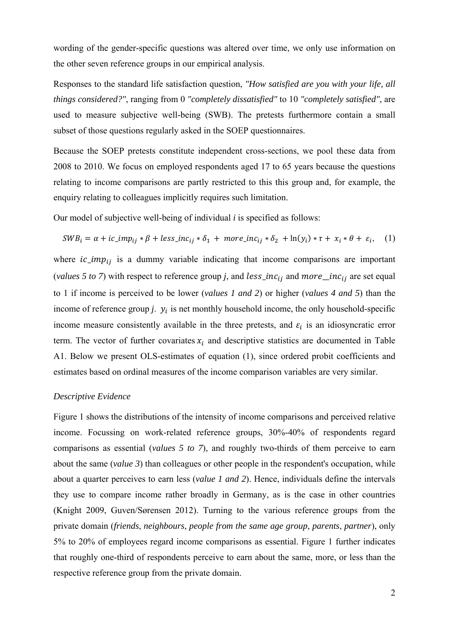wording of the gender-specific questions was altered over time, we only use information on the other seven reference groups in our empirical analysis.

Responses to the standard life satisfaction question, *"How satisfied are you with your life, all things considered?"*, ranging from 0 *"completely dissatisfied"* to 10 *"completely satisfied"*, are used to measure subjective well-being (SWB). The pretests furthermore contain a small subset of those questions regularly asked in the SOEP questionnaires.

Because the SOEP pretests constitute independent cross-sections, we pool these data from 2008 to 2010. We focus on employed respondents aged 17 to 65 years because the questions relating to income comparisons are partly restricted to this this group and, for example, the enquiry relating to colleagues implicitly requires such limitation.

Our model of subjective well-being of individual *i* is specified as follows:

$$
SWB_i = \alpha + ic\_imp_{ij} * \beta + less\_inc_{ij} * \delta_1 + more\_inc_{ij} * \delta_2 + ln(y_i) * \tau + x_i * \theta + \varepsilon_i, \quad (1)
$$

where  $ic\_imp_{ij}$  is a dummy variable indicating that income comparisons are important (*values 5 to 7*) with respect to reference group *j*, and *less\_inc<sub>ij</sub>* and *more\_inc<sub>ij</sub>* are set equal to 1 if income is perceived to be lower (*values 1 and 2*) or higher (*values 4 and 5*) than the income of reference group  $j$ .  $y_i$  is net monthly household income, the only household-specific income measure consistently available in the three pretests, and  $\varepsilon_i$  is an idiosyncratic error term. The vector of further covariates  $x_i$  and descriptive statistics are documented in Table A1. Below we present OLS-estimates of equation (1), since ordered probit coefficients and estimates based on ordinal measures of the income comparison variables are very similar.

#### *Descriptive Evidence*

Figure 1 shows the distributions of the intensity of income comparisons and perceived relative income. Focussing on work-related reference groups, 30%-40% of respondents regard comparisons as essential (*values 5 to 7*), and roughly two-thirds of them perceive to earn about the same (*value 3*) than colleagues or other people in the respondent's occupation, while about a quarter perceives to earn less (*value 1 and 2*). Hence, individuals define the intervals they use to compare income rather broadly in Germany, as is the case in other countries (Knight 2009, Guven/Sørensen 2012). Turning to the various reference groups from the private domain (*friends*, *neighbours*, *people from the same age group*, *parents*, *partner*), only 5% to 20% of employees regard income comparisons as essential. Figure 1 further indicates that roughly one-third of respondents perceive to earn about the same, more, or less than the respective reference group from the private domain.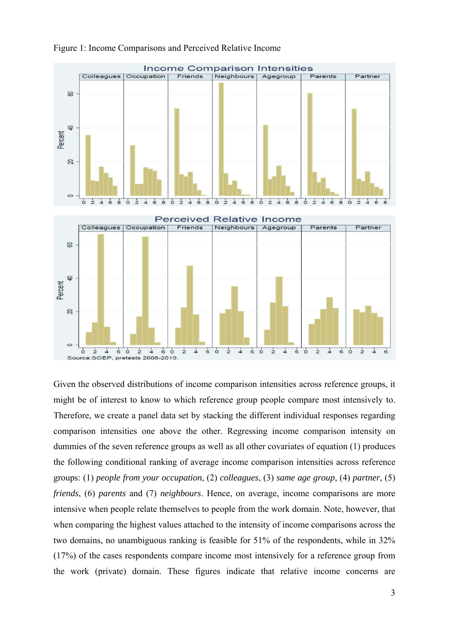

Figure 1: Income Comparisons and Perceived Relative Income

Given the observed distributions of income comparison intensities across reference groups, it might be of interest to know to which reference group people compare most intensively to. Therefore, we create a panel data set by stacking the different individual responses regarding comparison intensities one above the other. Regressing income comparison intensity on dummies of the seven reference groups as well as all other covariates of equation (1) produces the following conditional ranking of average income comparison intensities across reference groups: (1) *people from your occupation*, (2) *colleagues*, (3) *same age group*, (4) *partner*, (5) *friends*, (6) *parents* and (7) *neighbours*. Hence, on average, income comparisons are more intensive when people relate themselves to people from the work domain. Note, however, that when comparing the highest values attached to the intensity of income comparisons across the two domains, no unambiguous ranking is feasible for 51% of the respondents, while in 32% (17%) of the cases respondents compare income most intensively for a reference group from the work (private) domain. These figures indicate that relative income concerns are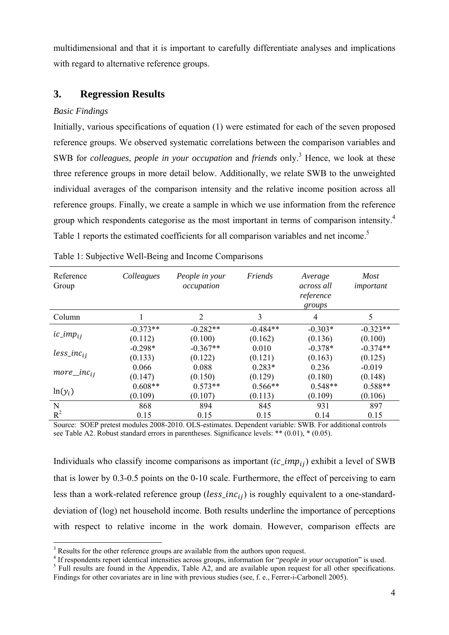multidimensional and that it is important to carefully differentiate analyses and implications with regard to alternative reference groups.

## **3. Regression Results**

### *Basic Findings*

1

Initially, various specifications of equation (1) were estimated for each of the seven proposed reference groups. We observed systematic correlations between the comparison variables and SWB for *colleagues*, *people in your occupation* and *friends* only.<sup>3</sup> Hence, we look at these three reference groups in more detail below. Additionally, we relate SWB to the unweighted individual averages of the comparison intensity and the relative income position across all reference groups. Finally, we create a sample in which we use information from the reference group which respondents categorise as the most important in terms of comparison intensity.<sup>4</sup> Table 1 reports the estimated coefficients for all comparison variables and net income.<sup>5</sup>

| Reference<br>Group | Colleagues | Friends<br>People in your<br>occupation |            | Average<br>across all<br>reference<br>groups | <b>Most</b><br>important |
|--------------------|------------|-----------------------------------------|------------|----------------------------------------------|--------------------------|
| Column             |            | $\overline{2}$                          | 3          | $\overline{4}$                               | 5                        |
|                    | $-0.373**$ | $-0.282**$                              | $-0.484**$ | $-0.303*$                                    | $-0.323**$               |
| $ic\_imp_{ij}$     | (0.112)    | (0.100)                                 | (0.162)    | (0.136)                                      | (0.100)                  |
|                    | $-0.298*$  | $-0.367**$                              | 0.010      | $-0.378*$                                    | $-0.374**$               |
| $less\_inc_{ij}$   | (0.133)    | (0.122)                                 | (0.121)    | (0.163)                                      | (0.125)                  |
|                    | 0.066      | 0.088                                   | $0.283*$   | 0.236                                        | $-0.019$                 |
| $more\_inc_{ii}$   | (0.147)    | (0.150)                                 | (0.129)    | (0.180)                                      | (0.148)                  |
| $ln(y_i)$          | $0.608**$  | $0.573**$                               | $0.566**$  | $0.548**$                                    | $0.588**$                |
|                    | (0.109)    | (0.107)                                 | (0.113)    | (0.109)                                      | (0.106)                  |
| N                  | 868        | 894                                     | 845        | 931                                          | 897                      |
| $R^2$              | 0.15       | 0.15                                    | 0.15       | 0.14                                         | 0.15                     |

Table 1: Subjective Well-Being and Income Comparisons

Source: SOEP pretest modules 2008-2010. OLS-estimates. Dependent variable: SWB. For additional controls see Table A2. Robust standard errors in parentheses. Significance levels: \*\* (0.01), \* (0.05).

Individuals who classify income comparisons as important  $(ic\_imp_{ij})$  exhibit a level of SWB that is lower by 0.3-0.5 points on the 0-10 scale. Furthermore, the effect of perceiving to earn less than a work-related reference group ( $less\_inc_{ij}$ ) is roughly equivalent to a one-standarddeviation of (log) net household income. Both results underline the importance of perceptions with respect to relative income in the work domain. However, comparison effects are

<sup>&</sup>lt;sup>3</sup> Results for the other reference groups are available from the authors upon request.

<sup>&</sup>lt;sup>4</sup> If respondents report identical intensities across groups, information for "*people in your occupation*" is used.  $\frac{5}{2}$  Full results are found in the Appendix. Table A2, and are qualible upon request for all other

 $5$  Full results are found in the Appendix, Table A2, and are available upon request for all other specifications. Findings for other covariates are in line with previous studies (see, f. e., Ferrer-i-Carbonell 2005).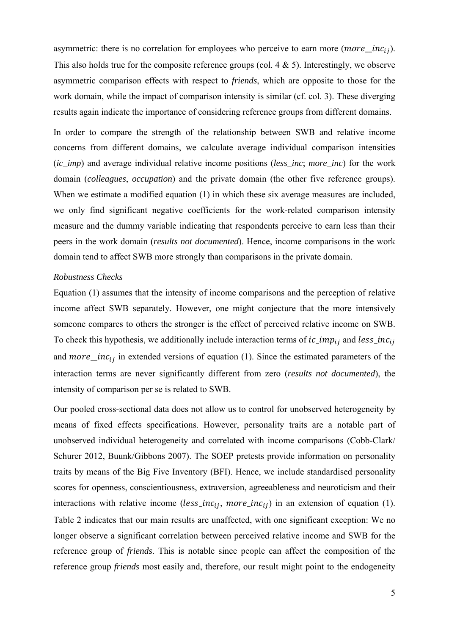asymmetric: there is no correlation for employees who perceive to earn more ( $more\_inc_{ij}$ ). This also holds true for the composite reference groups (col.  $4 \& 5$ ). Interestingly, we observe asymmetric comparison effects with respect to *friends*, which are opposite to those for the work domain, while the impact of comparison intensity is similar (cf. col. 3). These diverging results again indicate the importance of considering reference groups from different domains.

In order to compare the strength of the relationship between SWB and relative income concerns from different domains, we calculate average individual comparison intensities (*ic\_imp*) and average individual relative income positions (*less\_inc*; *more\_inc*) for the work domain (*colleagues*, *occupation*) and the private domain (the other five reference groups). When we estimate a modified equation (1) in which these six average measures are included, we only find significant negative coefficients for the work-related comparison intensity measure and the dummy variable indicating that respondents perceive to earn less than their peers in the work domain (*results not documented*). Hence, income comparisons in the work domain tend to affect SWB more strongly than comparisons in the private domain.

#### *Robustness Checks*

Equation (1) assumes that the intensity of income comparisons and the perception of relative income affect SWB separately. However, one might conjecture that the more intensively someone compares to others the stronger is the effect of perceived relative income on SWB. To check this hypothesis, we additionally include interaction terms of  $ic\_imp_{ij}$  and  $less\_inc_{ij}$ and *more* \_*inc<sub>ij</sub>* in extended versions of equation (1). Since the estimated parameters of the interaction terms are never significantly different from zero (*results not documented*), the intensity of comparison per se is related to SWB.

Our pooled cross-sectional data does not allow us to control for unobserved heterogeneity by means of fixed effects specifications. However, personality traits are a notable part of unobserved individual heterogeneity and correlated with income comparisons (Cobb-Clark/ Schurer 2012, Buunk/Gibbons 2007). The SOEP pretests provide information on personality traits by means of the Big Five Inventory (BFI). Hence, we include standardised personality scores for openness, conscientiousness, extraversion, agreeableness and neuroticism and their interactions with relative income ( $less\_inc_{ij}$ , more<sub> $inc_{ij}$ </sub>) in an extension of equation (1). Table 2 indicates that our main results are unaffected, with one significant exception: We no longer observe a significant correlation between perceived relative income and SWB for the reference group of *friends*. This is notable since people can affect the composition of the reference group *friends* most easily and, therefore, our result might point to the endogeneity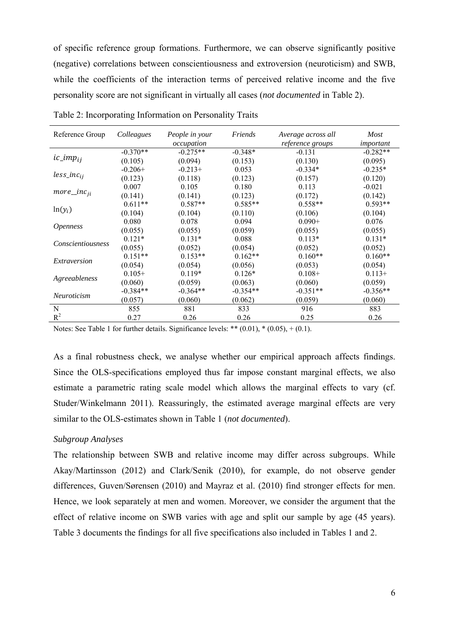of specific reference group formations. Furthermore, we can observe significantly positive (negative) correlations between conscientiousness and extroversion (neuroticism) and SWB, while the coefficients of the interaction terms of perceived relative income and the five personality score are not significant in virtually all cases (*not documented* in Table 2).

| Reference Group        | Colleagues | People in your<br>occupation | Friends    | Average across all<br>reference groups | <b>Most</b><br>important |
|------------------------|------------|------------------------------|------------|----------------------------------------|--------------------------|
|                        | $-0.370**$ | $-0.275**$                   | $-0.348*$  | $-0.131$                               | $-0.282**$               |
| $ic\_imp_{ij}$         | (0.105)    | (0.094)                      | (0.153)    | (0.130)                                | (0.095)                  |
|                        | $-0.206+$  | $-0.213+$                    | 0.053      | $-0.334*$                              | $-0.235*$                |
| $less\_inc_{ij}$       | (0.123)    | (0.118)                      | (0.123)    | (0.157)                                | (0.120)                  |
|                        | 0.007      | 0.105                        | 0.180      | 0.113                                  | $-0.021$                 |
| $more\_inc_{ii}$       | (0.141)    | (0.141)                      | (0.123)    | (0.172)                                | (0.142)                  |
|                        | $0.611**$  | $0.587**$                    | $0.585**$  | $0.558**$                              | $0.593**$                |
| $ln(y_i)$              | (0.104)    | (0.104)                      | (0.110)    | (0.106)                                | (0.104)                  |
|                        | 0.080      | 0.078                        | 0.094      | $0.090 +$                              | 0.076                    |
| <i><b>Openness</b></i> | (0.055)    | (0.055)                      | (0.059)    | (0.055)                                | (0.055)                  |
|                        | $0.121*$   | $0.131*$                     | 0.088      | $0.113*$                               | $0.131*$                 |
| Conscientiousness      | (0.055)    | (0.052)                      | (0.054)    | (0.052)                                | (0.052)                  |
|                        | $0.151**$  | $0.153**$                    | $0.162**$  | $0.160**$                              | $0.160**$                |
| Extraversion           | (0.054)    | (0.054)                      | (0.056)    | (0.053)                                | (0.054)                  |
|                        | $0.105+$   | $0.119*$                     | $0.126*$   | $0.108+$                               | $0.113+$                 |
| Agreeableness          | (0.060)    | (0.059)                      | (0.063)    | (0.060)                                | (0.059)                  |
| <i>Neuroticism</i>     | $-0.384**$ | $-0.364**$                   | $-0.354**$ | $-0.351**$                             | $-0.356**$               |
|                        | (0.057)    | (0.060)                      | (0.062)    | (0.059)                                | (0.060)                  |
| N                      | 855        | 881                          | 833        | 916                                    | 883                      |
| $R^2$                  | 0.27       | 0.26                         | 0.26       | 0.25                                   | 0.26                     |

Table 2: Incorporating Information on Personality Traits

Notes: See Table 1 for further details. Significance levels: \*\*  $(0.01)$ , \*  $(0.05)$ , +  $(0.1)$ .

As a final robustness check, we analyse whether our empirical approach affects findings. Since the OLS-specifications employed thus far impose constant marginal effects, we also estimate a parametric rating scale model which allows the marginal effects to vary (cf. Studer/Winkelmann 2011). Reassuringly, the estimated average marginal effects are very similar to the OLS-estimates shown in Table 1 (*not documented*).

#### *Subgroup Analyses*

The relationship between SWB and relative income may differ across subgroups. While Akay/Martinsson (2012) and Clark/Senik (2010), for example, do not observe gender differences, Guven/Sørensen (2010) and Mayraz et al. (2010) find stronger effects for men. Hence, we look separately at men and women. Moreover, we consider the argument that the effect of relative income on SWB varies with age and split our sample by age (45 years). Table 3 documents the findings for all five specifications also included in Tables 1 and 2.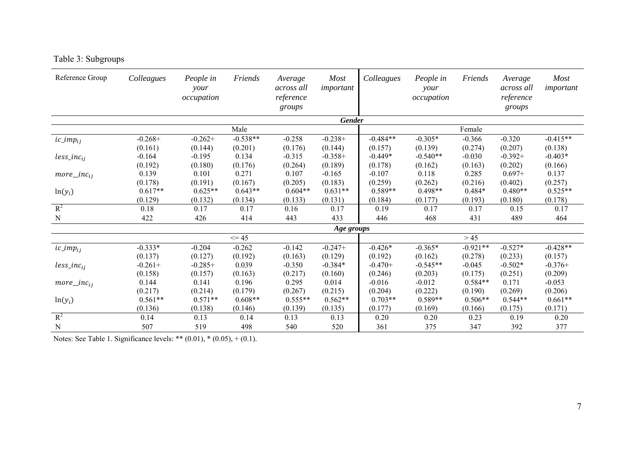|  | Table 3: Subgroups |
|--|--------------------|
|  |                    |

| Reference Group  | Colleagues | People in<br>your<br>occupation | Friends    | Average<br><i>across all</i><br>reference<br>groups | <b>Most</b><br>important | Colleagues | People in<br>your<br>occupation | Friends    | Average<br>across all<br>reference<br>groups | <b>Most</b><br>important |
|------------------|------------|---------------------------------|------------|-----------------------------------------------------|--------------------------|------------|---------------------------------|------------|----------------------------------------------|--------------------------|
|                  |            |                                 |            |                                                     | <b>Gender</b>            |            |                                 |            |                                              |                          |
|                  |            |                                 | Male       |                                                     |                          |            |                                 | Female     |                                              |                          |
| $ic\_imp_{ij}$   | $-0.268+$  | $-0.262+$                       | $-0.538**$ | $-0.258$                                            | $-0.238+$                | $-0.484**$ | $-0.305*$                       | $-0.366$   | $-0.320$                                     | $-0.415**$               |
|                  | (0.161)    | (0.144)                         | (0.201)    | (0.176)                                             | (0.144)                  | (0.157)    | (0.139)                         | (0.274)    | (0.207)                                      | (0.138)                  |
| $less\_inc_{ij}$ | $-0.164$   | $-0.195$                        | 0.134      | $-0.315$                                            | $-0.358+$                | $-0.449*$  | $-0.540**$                      | $-0.030$   | $-0.392+$                                    | $-0.403*$                |
|                  | (0.192)    | (0.180)                         | (0.176)    | (0.264)                                             | (0.189)                  | (0.178)    | (0.162)                         | (0.163)    | (0.202)                                      | (0.166)                  |
| $more\_inc_{ij}$ | 0.139      | 0.101                           | 0.271      | 0.107                                               | $-0.165$                 | $-0.107$   | 0.118                           | 0.285      | $0.697+$                                     | 0.137                    |
|                  | (0.178)    | (0.191)                         | (0.167)    | (0.205)                                             | (0.183)                  | (0.259)    | (0.262)                         | (0.216)    | (0.402)                                      | (0.257)                  |
| $ln(y_i)$        | $0.617**$  | $0.625**$                       | $0.643**$  | $0.604**$                                           | $0.631**$                | $0.589**$  | $0.498**$                       | $0.484*$   | $0.480**$                                    | $0.525**$                |
|                  | (0.129)    | (0.132)                         | (0.134)    | (0.133)                                             | (0.131)                  | (0.184)    | (0.177)                         | (0.193)    | (0.180)                                      | (0.178)                  |
| $R^2$            | 0.18       | 0.17                            | 0.17       | 0.16                                                | 0.17                     | 0.19       | 0.17                            | 0.17       | 0.15                                         | 0.17                     |
| $\mathbf N$      | 422        | 426                             | 414        | 443                                                 | 433                      | 446        | 468                             | 431        | 489                                          | 464                      |
|                  |            |                                 |            |                                                     | Age groups               |            |                                 |            |                                              |                          |
|                  |            |                                 | $\leq$ 45  |                                                     |                          |            |                                 | >45        |                                              |                          |
| $ic\_imp_{ij}$   | $-0.333*$  | $-0.204$                        | $-0.262$   | $-0.142$                                            | $-0.247+$                | $-0.426*$  | $-0.365*$                       | $-0.921**$ | $-0.527*$                                    | $-0.428**$               |
|                  | (0.137)    | (0.127)                         | (0.192)    | (0.163)                                             | (0.129)                  | (0.192)    | (0.162)                         | (0.278)    | (0.233)                                      | (0.157)                  |
| $less\_inc_{ij}$ | $-0.261+$  | $-0.285+$                       | 0.039      | $-0.350$                                            | $-0.384*$                | $-0.470+$  | $-0.545**$                      | $-0.045$   | $-0.502*$                                    | $-0.376+$                |
|                  | (0.158)    | (0.157)                         | (0.163)    | (0.217)                                             | (0.160)                  | (0.246)    | (0.203)                         | (0.175)    | (0.251)                                      | (0.209)                  |
| $more\_inc_{ij}$ | 0.144      | 0.141                           | 0.196      | 0.295                                               | 0.014                    | $-0.016$   | $-0.012$                        | $0.584**$  | 0.171                                        | $-0.053$                 |
|                  | (0.217)    | (0.214)                         | (0.179)    | (0.267)                                             | (0.215)                  | (0.204)    | (0.222)                         | (0.190)    | (0.269)                                      | (0.206)                  |
| $ln(y_i)$        | $0.561**$  | $0.571**$                       | $0.608**$  | $0.555**$                                           | $0.562**$                | $0.703**$  | $0.589**$                       | $0.506**$  | $0.544**$                                    | $0.661**$                |
|                  | (0.136)    | (0.138)                         | (0.146)    | (0.139)                                             | (0.135)                  | (0.177)    | (0.169)                         | (0.166)    | (0.175)                                      | (0.171)                  |
| $R^2$            | 0.14       | 0.13                            | 0.14       | 0.13                                                | 0.13                     | 0.20       | 0.20                            | 0.23       | 0.19                                         | 0.20                     |
| $\mathbf N$      | 507        | 519                             | 498        | 540                                                 | 520                      | 361        | 375                             | 347        | 392                                          | 377                      |

Notes: See Table 1. Significance levels: \*\* (0.01), \* (0.05), + (0.1).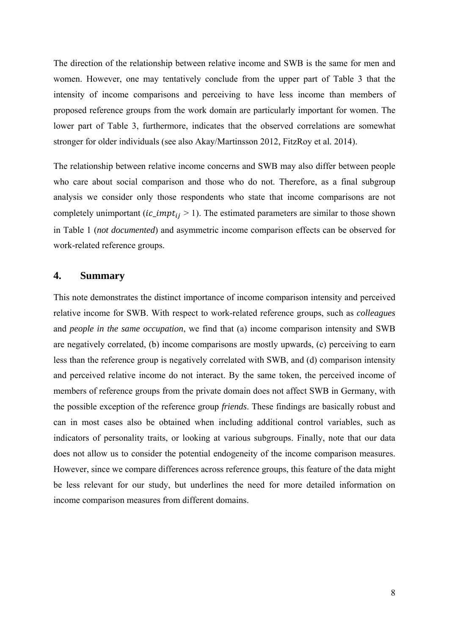The direction of the relationship between relative income and SWB is the same for men and women. However, one may tentatively conclude from the upper part of Table 3 that the intensity of income comparisons and perceiving to have less income than members of proposed reference groups from the work domain are particularly important for women. The lower part of Table 3, furthermore, indicates that the observed correlations are somewhat stronger for older individuals (see also Akay/Martinsson 2012, FitzRoy et al. 2014).

The relationship between relative income concerns and SWB may also differ between people who care about social comparison and those who do not. Therefore, as a final subgroup analysis we consider only those respondents who state that income comparisons are not completely unimportant (*ic\_impt<sub>ij</sub>* > 1). The estimated parameters are similar to those shown in Table 1 (*not documented*) and asymmetric income comparison effects can be observed for work-related reference groups.

### **4. Summary**

This note demonstrates the distinct importance of income comparison intensity and perceived relative income for SWB. With respect to work-related reference groups, such as *colleagues* and *people in the same occupation*, we find that (a) income comparison intensity and SWB are negatively correlated, (b) income comparisons are mostly upwards, (c) perceiving to earn less than the reference group is negatively correlated with SWB, and (d) comparison intensity and perceived relative income do not interact. By the same token, the perceived income of members of reference groups from the private domain does not affect SWB in Germany, with the possible exception of the reference group *friends*. These findings are basically robust and can in most cases also be obtained when including additional control variables, such as indicators of personality traits, or looking at various subgroups. Finally, note that our data does not allow us to consider the potential endogeneity of the income comparison measures. However, since we compare differences across reference groups, this feature of the data might be less relevant for our study, but underlines the need for more detailed information on income comparison measures from different domains.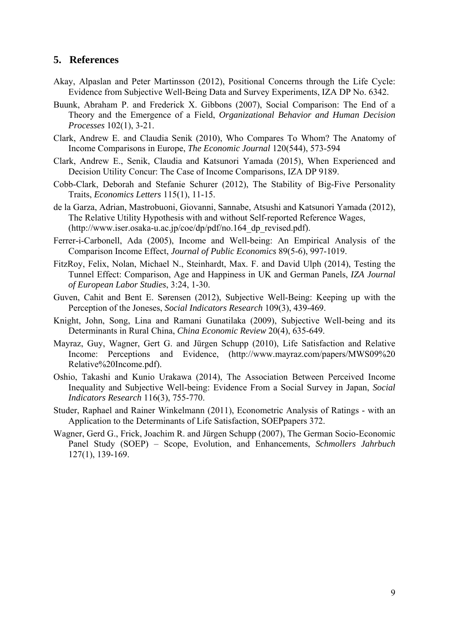### **5. References**

- Akay, Alpaslan and Peter Martinsson (2012), Positional Concerns through the Life Cycle: Evidence from Subjective Well-Being Data and Survey Experiments, IZA DP No. 6342.
- Buunk, Abraham P. and Frederick X. Gibbons (2007), Social Comparison: The End of a Theory and the Emergence of a Field, *Organizational Behavior and Human Decision Processes* 102(1), 3-21.
- Clark, Andrew E. and Claudia Senik (2010), Who Compares To Whom? The Anatomy of Income Comparisons in Europe, *The Economic Journal* 120(544), 573-594
- Clark, Andrew E., Senik, Claudia and Katsunori Yamada (2015), When Experienced and Decision Utility Concur: The Case of Income Comparisons, IZA DP 9189.
- Cobb-Clark, Deborah and Stefanie Schurer (2012), The Stability of Big-Five Personality Traits, *Economics Letters* 115(1), 11-15.
- de la Garza, Adrian, Mastrobuoni, Giovanni, Sannabe, Atsushi and Katsunori Yamada (2012), The Relative Utility Hypothesis with and without Self-reported Reference Wages, (http://www.iser.osaka-u.ac.jp/coe/dp/pdf/no.164\_dp\_revised.pdf).
- Ferrer-i-Carbonell, Ada (2005), Income and Well-being: An Empirical Analysis of the Comparison Income Effect, *Journal of Public Economics* 89(5-6), 997-1019.
- FitzRoy, Felix, Nolan, Michael N., Steinhardt, Max. F. and David Ulph (2014), Testing the Tunnel Effect: Comparison, Age and Happiness in UK and German Panels, *IZA Journal of European Labor Studies*, 3:24, 1-30.
- Guven, Cahit and Bent E. Sørensen (2012), Subjective Well-Being: Keeping up with the Perception of the Joneses, *Social Indicators Research* 109(3), 439-469.
- Knight, John, Song, Lina and Ramani Gunatilaka (2009), Subjective Well-being and its Determinants in Rural China, *China Economic Review* 20(4), 635-649.
- Mayraz, Guy, Wagner, Gert G. and Jürgen Schupp (2010), Life Satisfaction and Relative Income: Perceptions and Evidence, (http://www.mayraz.com/papers/MWS09%20 Relative%20Income.pdf).
- Oshio, Takashi and Kunio Urakawa (2014), The Association Between Perceived Income Inequality and Subjective Well-being: Evidence From a Social Survey in Japan, *Social Indicators Research* 116(3), 755-770.
- Studer, Raphael and Rainer Winkelmann (2011), Econometric Analysis of Ratings with an Application to the Determinants of Life Satisfaction, SOEPpapers 372.
- Wagner, Gerd G., Frick, Joachim R. and Jürgen Schupp (2007), The German Socio-Economic Panel Study (SOEP) – Scope, Evolution, and Enhancements, *Schmollers Jahrbuch* 127(1), 139-169.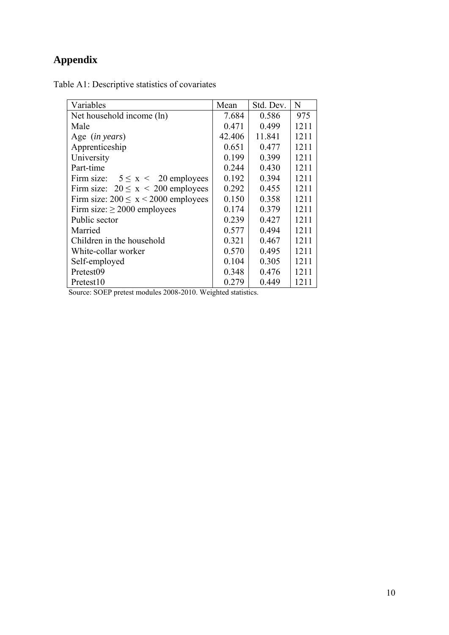## **Appendix**

|  |  |  | Table A1: Descriptive statistics of covariates |
|--|--|--|------------------------------------------------|
|  |  |  |                                                |

| Variables                                 | Mean   | Std. Dev. | N    |
|-------------------------------------------|--------|-----------|------|
| Net household income (ln)                 | 7.684  | 0.586     | 975  |
| Male                                      | 0.471  | 0.499     | 1211 |
| Age (in years)                            | 42.406 | 11.841    | 1211 |
| Apprenticeship                            | 0.651  | 0.477     | 1211 |
| University                                | 0.199  | 0.399     | 1211 |
| Part-time                                 | 0.244  | 0.430     | 1211 |
| Firm size: $5 \le x \le 20$ employees     | 0.192  | 0.394     | 1211 |
| Firm size: $20 \le x \le 200$ employees   | 0.292  | 0.455     | 1211 |
| Firm size: $200 \le x \le 2000$ employees | 0.150  | 0.358     | 1211 |
| Firm size: $\geq 2000$ employees          | 0.174  | 0.379     | 1211 |
| Public sector                             | 0.239  | 0.427     | 1211 |
| Married                                   | 0.577  | 0.494     | 1211 |
| Children in the household                 | 0.321  | 0.467     | 1211 |
| White-collar worker                       | 0.570  | 0.495     | 1211 |
| Self-employed                             | 0.104  | 0.305     | 1211 |
| Pretest09                                 | 0.348  | 0.476     | 1211 |
| Pretest <sub>10</sub>                     | 0.279  | 0.449     | 1211 |

Source: SOEP pretest modules 2008-2010. Weighted statistics.